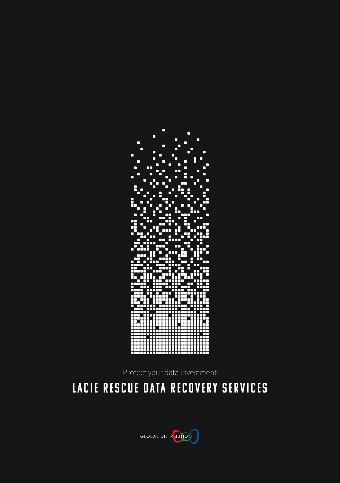

Protect your data investment

# LaCie Rescue Data Recovery Services

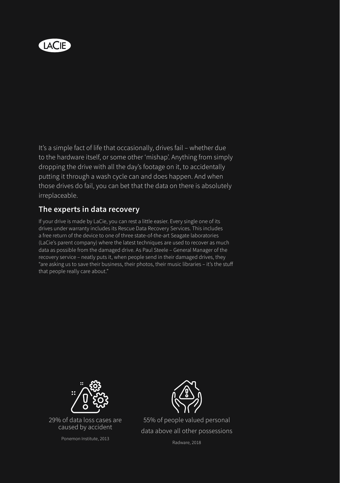

It's a simple fact of life that occasionally, drives fail – whether due to the hardware itself, or some other 'mishap'. Anything from simply dropping the drive with all the day's footage on it, to accidentally putting it through a wash cycle can and does happen. And when those drives do fail, you can bet that the data on there is absolutely irreplaceable.

## **The experts in data recovery**

If your drive is made by LaCie, you can rest a little easier. Every single one of its drives under warranty includes its Rescue Data Recovery Services. This includes a free return of the device to one of three state-of-the-art Seagate laboratories (LaCie's parent company) where the latest techniques are used to recover as much data as possible from the damaged drive. As Paul Steele – General Manager of the recovery service – neatly puts it, when people send in their damaged drives, they "are asking us to save their business, their photos, their music libraries – it's the stuff that people really care about."



29% of data loss cases are caused by accident

Ponemon Institute, 2013



55% of people valued personal data above all other possessions

Radware, 2018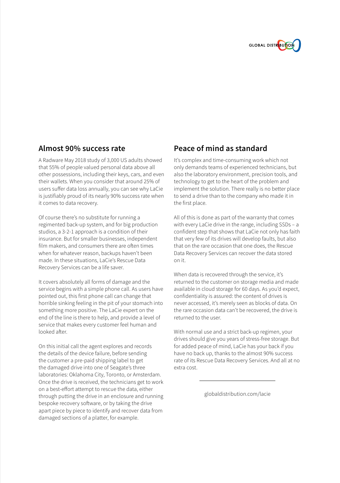

#### **Almost 90% success rate**

A Radware May 2018 study of 3,000 US adults showed that 55% of people valued personal data above all other possessions, including their keys, cars, and even their wallets. When you consider that around 25% of users suffer data loss annually, you can see why LaCie is justifiably proud of its nearly 90% success rate when it comes to data recovery.

Of course there's no substitute for running a regimented back-up system, and for big production studios, a 3-2-1 approach is a condition of their insurance. But for smaller businesses, independent film makers, and consumers there are often times when for whatever reason, backups haven't been made. In these situations, LaCie's Rescue Data Recovery Services can be a life saver.

It covers absolutely all forms of damage and the service begins with a simple phone call. As users have pointed out, this first phone call can change that horrible sinking feeling in the pit of your stomach into something more positive. The LaCie expert on the end of the line is there to help, and provide a level of service that makes every customer feel human and looked after.

On this initial call the agent explores and records the details of the device failure, before sending the customer a pre-paid shipping label to get the damaged drive into one of Seagate's three laboratories: Oklahoma City, Toronto, or Amsterdam. Once the drive is received, the technicians get to work on a best-effort attempt to rescue the data, either through putting the drive in an enclosure and running bespoke recovery software, or by taking the drive apart piece by piece to identify and recover data from damaged sections of a platter, for example.

## **Peace of mind as standard**

It's complex and time-consuming work which not only demands teams of experienced technicians, but also the laboratory environment, precision tools, and technology to get to the heart of the problem and implement the solution. There really is no better place to send a drive than to the company who made it in the first place.

All of this is done as part of the warranty that comes with every LaCie drive in the range, including SSDs – a confident step that shows that LaCie not only has faith that very few of its drives will develop faults, but also that on the rare occasion that one does, the Rescue Data Recovery Services can recover the data stored on it.

When data is recovered through the service, it's returned to the customer on storage media and made available in cloud storage for 60 days. As you'd expect, confidentiality is assured: the content of drives is never accessed, it's merely seen as blocks of data. On the rare occasion data can't be recovered, the drive is returned to the user.

With normal use and a strict back-up regimen, your drives should give you years of stress-free storage. But for added peace of mind, LaCie has your back if you have no back up, thanks to the almost 90% success rate of its Rescue Data Recovery Services. And all at no extra cost.

globaldistribution.com/lacie